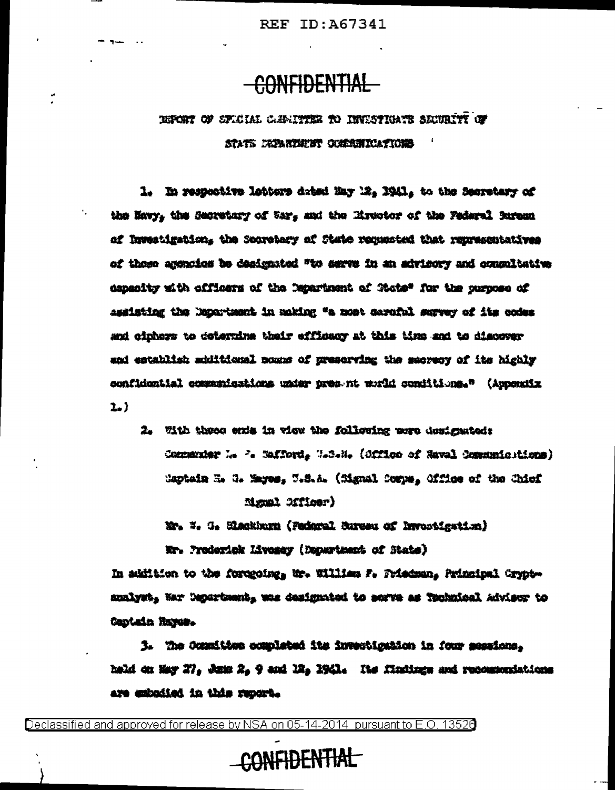#### **CONFIDENTIAL**

#### TEFORT OF SPICIAL CARLITEE TO INVESTIGATE SECURITY OF STATS FORMUSE COMMITTERTIONS

1. In respective letters dated May 12, 1941, to the Secretary of the Navy, the Secretary of War, and the Mrestor of the Federal jureau of Investigation, the Socretary of State requested that representatives of those agencies be designated "to serve in an advisory and consultative depending with officers of the Department of State" for the purpose of assisting the Nepartment in making "a most caraful servey of its codes and ciphers to determine thair efficacy at this time and to discover and establish additional mome of preserving the secrecy of its highly confidential commerications under pres nt world conditions." (Appendix  $2 - 2$ 

2. With these exis in view the following were designated: Commenter M. P. Safford, W.S.N. (Office of Naval Comments) tions) Captain E. C. Mayes, W.S.A. (Mgnal Corps, Office of the Chief **Assal 221100r)** 

Mr. W. G. Slackburn (Fedaral Bureau of Invocaination)

Mr. Prodorick Livegay (Department of State)

In addition to the forceoing, Wr. William F. Priedman, Principal Cryptanalyst, Mar Depurtuent, was designated to serve as Tochnical Advisor to Captain Hayes.

3. The Committee completed its invectigation in four sessions. held on May 27, June 2, 9 and 12, 1941. Its findings and recommendations are exhodied in this report.

Declassified and approved for release by NSA on 05-14-2014 pursuant to E.O. 13526

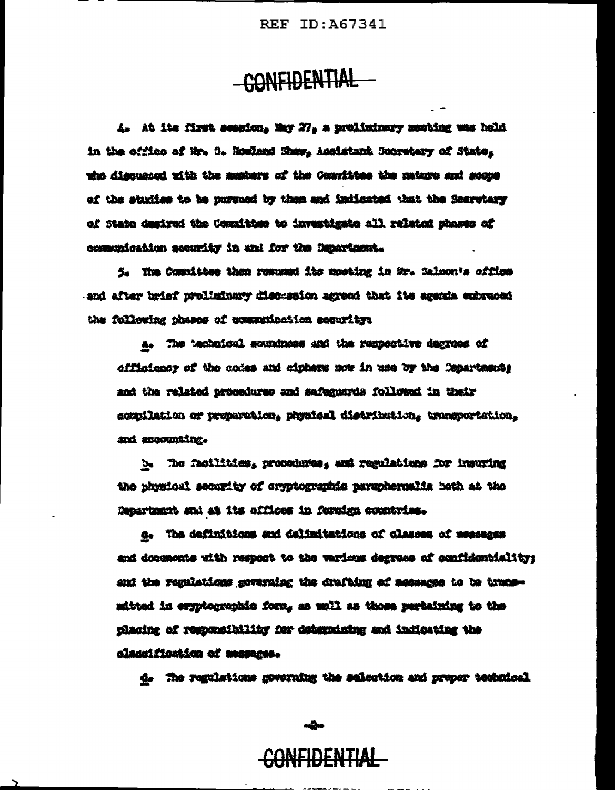# -CONFIDENTIAL

4. At its first seasion, May 27, a prolininary meeting was hold in the office of Mr. 3. Houland Shaw, Assistant Sucretary of State, who discussed with the members of the Constitues the nature and soups of the studion to be pursued by them and indicated that the Secretary of State desired the Committee to investigate all related phases of comunication acourity in and for the Department.

5. The Committee than resumed its mosting in Mr. Salmon's office and after brief prolininary discussion agreed that its agonda embraced the following phases of examprisesion security:

a. The 'eshuical soundness and the respective degrees of officioner of the codes and ciphers now in use by the Conartesrie and the related procedures and safeguards followed in their sompilation or proporation, physical distribution, transportation. and accounting.

b. The facilities, procedures, and regulations for insuring the physical security of cryptographic paraphermalis both at the Repartment and at its offices in fereign countries.

a. The definitions and delimitations of classes of messages and documents with respont to the various degrees of confidentiality; and the regulations governing the drafting of accessos to be trapsmitted in eryptographie form, as woll as those pertaining to the placing of regomeibility for determining and indicating the classification of mesenes.

d. The regulations governing the salection and proper technical

# <del>CONFIDENTIAL</del>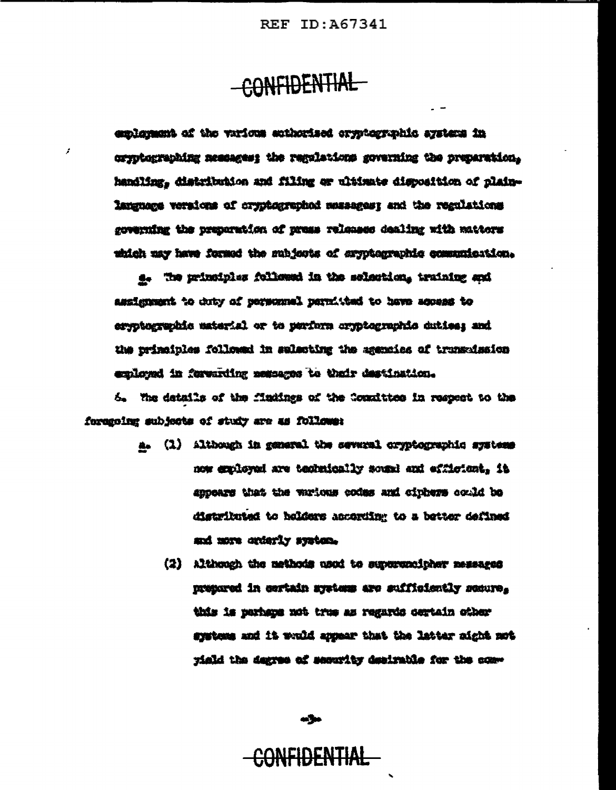# CONFIDENTIAL

f.

emblement of the various ecthorised oryptographic aystems in oryptographing nessages; the regulations governing the preparation, handling, distribution and filing or ultimate disposition of plainlanguage veraions of cryptographod mesagest and the regulations governing the preparation of press releases dealing with mattors which may have formed the mubjects of eryptegraphic communication.

4. The principles followed in the solection, training and assignment to duty of personnel permitted to have scopes to ergotographic material or to perform orgotographic duties; and up principles follows of prisoting the agentics of truncipates explored in fervarding negagges to their destination.

5. The details of the finaings of the Counittee in respect to the forceoing subjects of study are as follows:

- a. (1) Although in general the several oryptographic systems now exployed are technically sound and efficient. it appears that the various codes and ciphers could be distributed to holders according to a better defined and more crierly system.
	- (2) Although the nethods used to supergrainher messages presered in certain gystems are sufficiently secure. this is perhaps not true as regards certain other systems and it would appear that the latter sight not riald the degree of security desirable for the com-

مرامه

#### F<del>idential</del>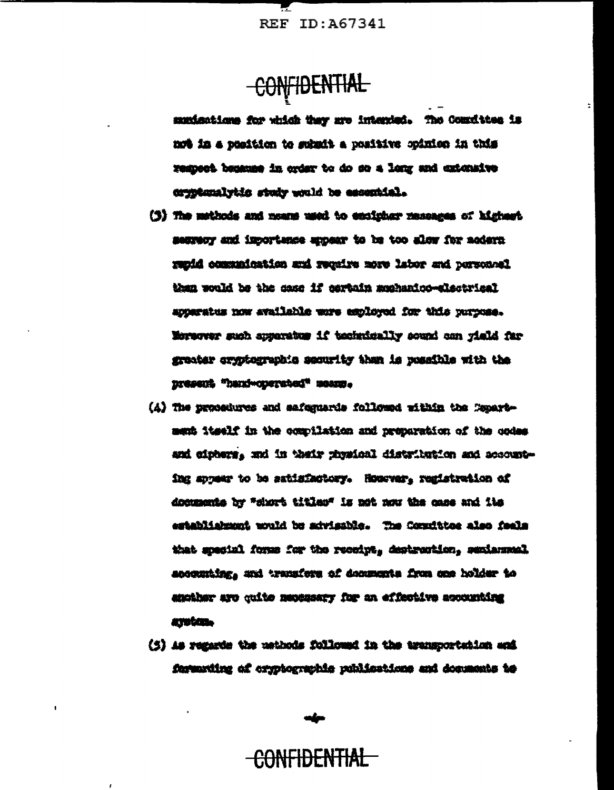CONFIDENTIAL

munications for which thay are intented. The Countites is not in a position to schuit a positive opinion in this respect because in order to do so a long and extensive cryptumalytic study would be essential.

- (3) The methods and means used to encipher researces of highest sentery and inportence appear to be too slow for accert Packerne has noted over orient him collections himse than would be the case if earbain muhamico-slactrical apperatus now available were employed for this purpose. Worvever such apparatum if technically sound can rield far greater arguterrankic security than is possible with the Dresent "hani-operated" means.
- (A) The procedures and safermards followed within the Capartment itself in the complistion and proparation of the codes and ciphers, and in their physical distribution and accounting appear to be satisfactory. Hourver, registration of documents by "short titles" is not now the case and its establishment would be advisable. The Constitue also feals that special forms for the recoipt, destruction, sexiammel accounting, and transfers of decements from one holder to anciber are cuito necessary for an effective accounting amatan.
- (5) As regards the methods followed in the transportation and furnative of cryptographic publications and documents to

#### <del>CONFIDENTIAL</del>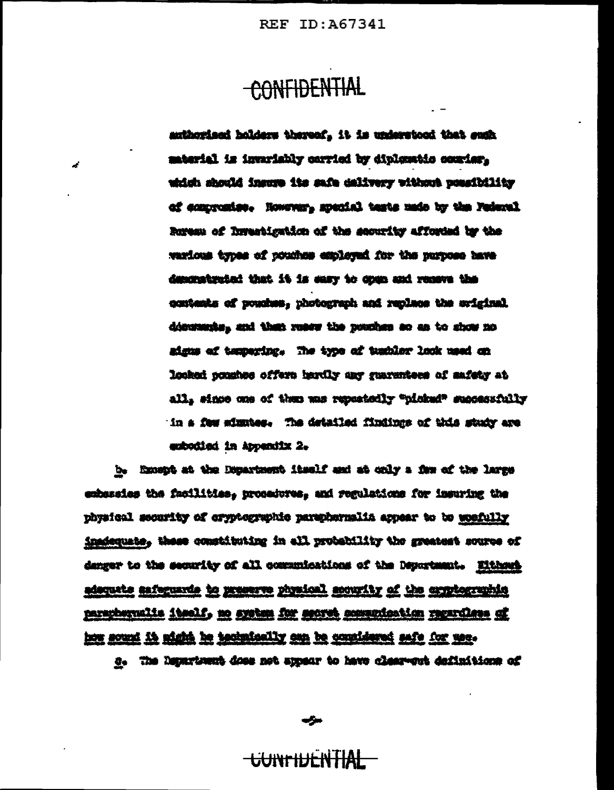# CONFIDENTIAL

mulhorized holders thereof. it is understood that such material is invariably carried by diplomatic couries. which should insure its safe delivery without possibility of compresion. However, special tests unde by the Federal Ruress of Investigation of the security afforded by the warious types of pouches employed for the purpose have depointment that it is easy to doen and remove the contents of pouches, photograph and replace the aviginal discussions and then reser the possions so as to show no aigus af tempering. The type of tembler look used on looked ponshes offers hardly any guarantees of safety at all. since one of them was repeatedly "ninked" successfully in a few simples. The detailed findings of this study are endociisd in Appendix 2.

b. Except at the Department itself and at only a few of the large embassies the facilities, procedures, and regulations for insuring the physical security of cryptographic paraphermalia appear to be weefully inadequate, these constituting in all probability the greatest source of denger to the security of all communications of the Department. Elthant adsquate asfeguards to preserve physical socurity of the cryptographic paraphernalis itself, no system for secret conventiontion recentless of how sound it might be technically amp be countdered safe for use.

d. The Department does not appear to have clear-est definitions of

سيمي

#### **CONTHIFNTIAL**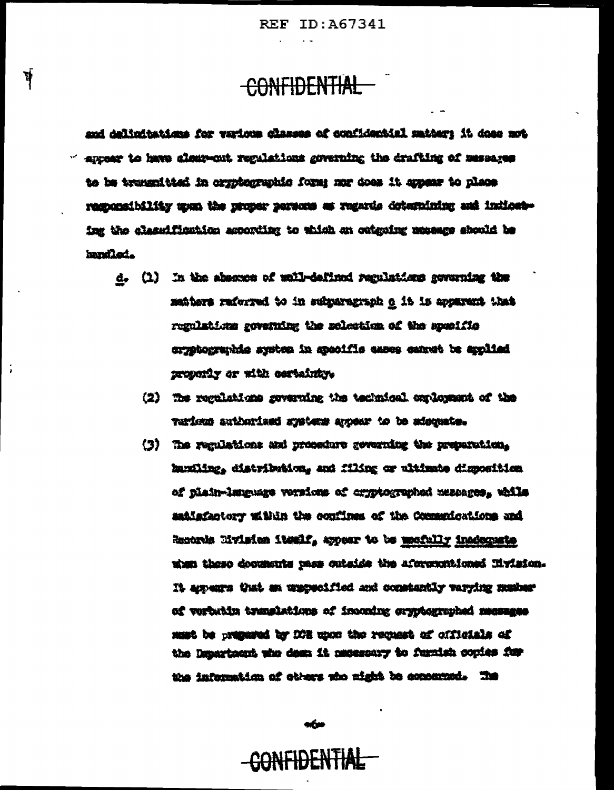### CONFIDENTIAL

ψj

and delimitations for various classes of confidential matter; it does not  $\leq$  arrear to have algunant regulations governing the drafting of mesoares to be transmitted in orgatographic forms mor does it appear to place responsibility upon the proper persons as regards determining and indicateing the slagedfiestion agoorting to which on outgoing moseurs should be handled.

- d. (1) In the absence of well-defined regulations coverning the saiters reforred to in submargeraph o it is apparent that regulations governing the solection of the specific cryptographic system in specific eases cannot be applied properly or with cortaining.
	- (2) The regulations governing the technical conlossent of the verious authorized systems agent to be adoquate.
	- (3) The regulations and procedure governing the preparation, handing, distribution, and filing or ultimate diamonition of plain-language versions of cryptographed mescages, while satisfactory within the confines of the Communications and Records Mylsics itself, appear to be mostully inadequate then those decements pass cutside the aforemationed livision. It amours that an unspecified and constantly varying musicar of verbatin translations of incoming organization has negates must be prepared by ICE upon the request of officials of the Department who doen it necessary to furnish copies for the information of others who might be connected. The

ofur

# CONFIDENTIAL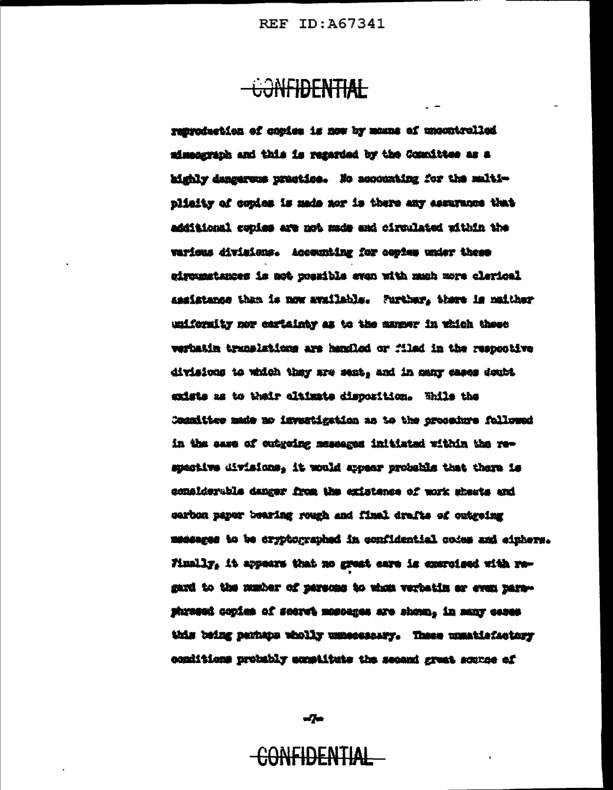#### CONFIDENTIAL

reproduction of conies is now by manns of uncontrolled aimeacraph and this is regarded by the Committee as a highly dangerous prestice. No accounting for the maltiplicity of copies is made nor is there any assurance that additional copies are not made and circulated within the various divisions. Accounting for contes under these leptrais eyes down dity news afdress for al assuming to the assistance than is now available. Further, there is naither unifornity nor cartainty as to the manner in which these verbatin translations are hardled or filed in the respondive divisions to which they are sent, and in many cases doubt exists as to their disimate disposition. While the Connities made no investigation as to the procedure followed in the sase of cutgoing messeges initiated within the respective divisions, it would arosar probable that there is considerable danger from the existence of work sheats and sarbon paper bearing rough and final drafts of outgeing messages to be cryptographed in confidential codes and eiphers. Finally, it appears that no great care is exercised with resard to the musics of persons to whim verbatin ar even narephrased copies of secret moscages are shown, in many cases this being parhaps wholly unnecessary. These unmatisfactory conditions probably scostitute the second great scoree of

 $\frac{d}{dt}$ 

### <del>CONFIDENTIAL</del>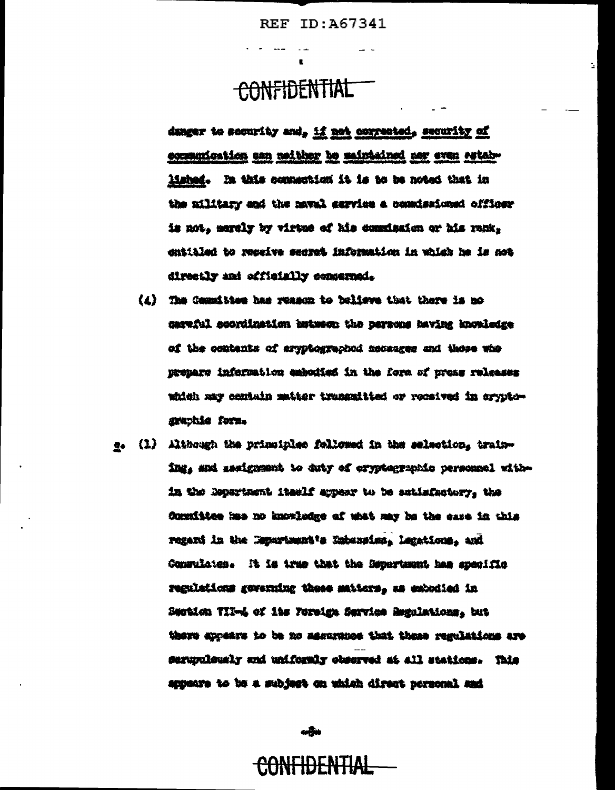÷,

# CONFIDENTIAL

danger to soonrity and, if not corrected, security of communication can melther be maintained nor even established. In this commention it is to be noted that in the military and the naval service a comissioned cfficer is not, merely by virtue of his commission or his rank, entitled to reseive secret information in which he is not directly and officially concerned.

- (1) The Committee has reason to believe that there is no careful scordination butuese the persons having knowledge of the contents of aryptographod accasses and those who premars information exhodied in the form of prons releases which may centain matter transmitted or received in cryptographie form.
- e. (1) Although the principles followed in the selection, training, and medgrame to duty of cryptographic personnel within the Repartment itaelf appear to be satisfactory, the Committee has no knowledge of what may be the case in this regard in the Department's Saturains, Lagations, and Consulates. It is true that the Department has specific regulations geverning these matters, as exhodied in Smotion TID-4 of its Forsign Service Regulations, but there are the to be no aggressive that these regulations are serupulsusly and uniformly observed at all stations. This appeare to be a subject on which direct personal and

مطلب

### **CONFIDENTIAL**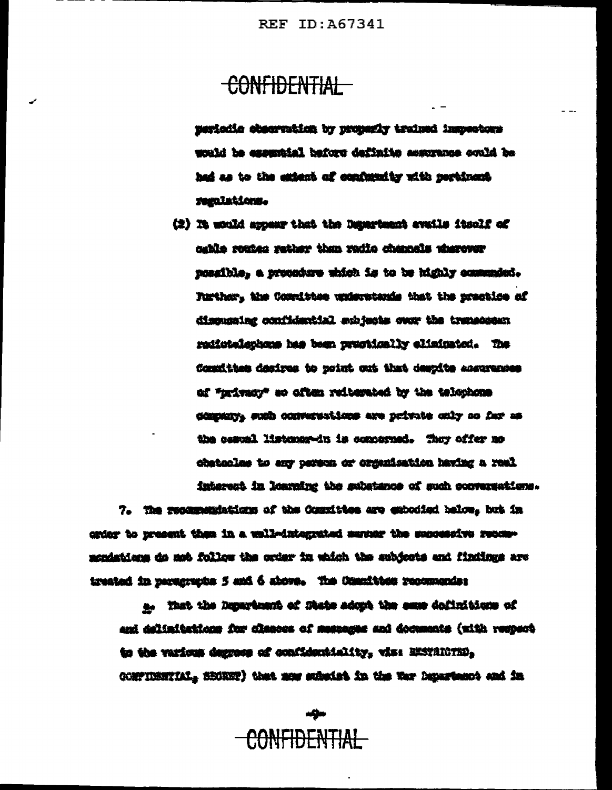#### CONFIDENTIAL

periodic observation by properly trained impectors would be essumisial before definite assurance could be had as to the extent of confurnity with perbinant. regulations.

(2) It would appear that the Department evails itsulf of cable routes rather than radio channels wherevor posaible, a propodere uhich is to be bighly communici-Further, the Cosmittee understands that the prestice of disputaing confidential subjects over the transcess: radiotelephone has been proctically eliminated. The Committee desires to point out that despite accurance of "trivacy" so often reiterated by the telephone dimension such conversations are private only so far as the seatel listener-in is concerned. They offer no dhateclas to any person or organisation having a real interest in learning the substance of such conversations.

7. The recommendations of the Committee are extended below, but in criar to present them in a well-integrated manuar the suppersive recommondations do not follow the order in which the subjects and findings are treated in partsympts 5 and 6 above. The Committee recommender

a. Yant the Department of State adopt the same dofinitions of and delimitations for classes of messages and documents (with respect to the various degrees of confidentiality, vis: EXSTRICTED, CONFIDENTIAL, SECRET) that mas subside in the War Department and in

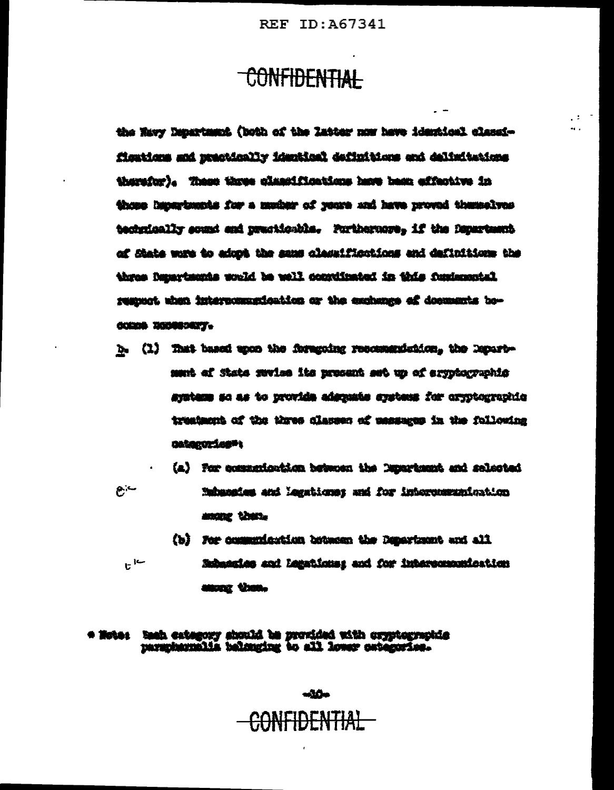$\sim$ 

43

#### CONFIDENTIAL

the Mavy Department (both of the latter now have identical classifisations and prectically identical definitions and delimitations therefor). These three classifications have been effective in these lapsrtmests for a mucher of years and have proved themselves technically sound and practicable. Furthernore, if the Department of State wore to adopt the same classifications and definitions the three Departments would be well convinated in this fundamental respect when interpormenteation or the exchange of documents bo-COMO 200000007.

- b. (1) That based upon the foregoing recommendation. the Departmust of State mutue its procent sut up of eryptographic system so as to provide adscrate systems for oryptographic treatment of the three classes of ussauges in the following DARGEOZÍGER L
- (a) For communication between the Department and schected  $e -$ Nahassies and Megations: and for intervenerationtion among them.
	- (b) For communication between the Department and all ان ا Subatains and Legations: and for interportentiontien anone Vron-

#### \* Note: Saah extegory abould be provided with oryptographic parantarnalia balanging to all lower owtengries.

 $-10-$ CONFIDENTIAL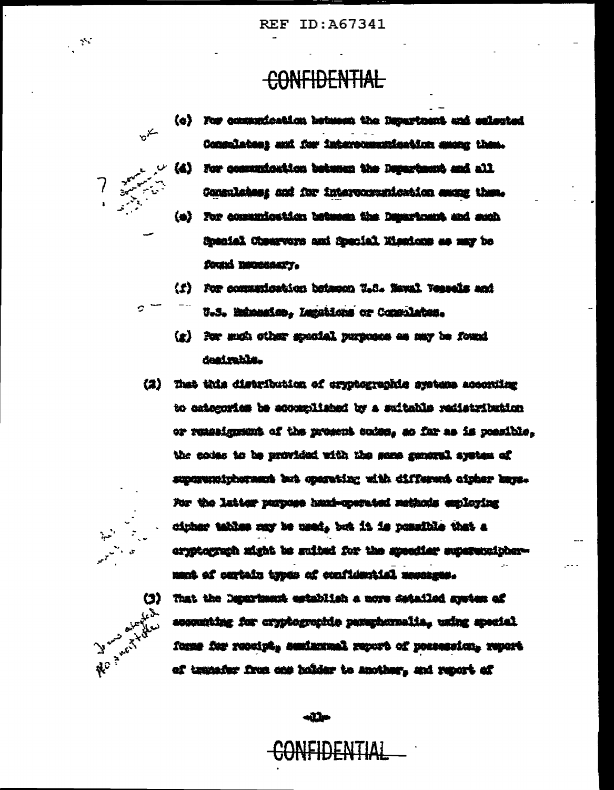#### CONFIDENTIAL



C.

 $\mathbb{R}^3$ 

(c) For communication between the Department and selected Consolates; and for intercommunication among them. (d) For communication between the Department and all Consulates: and for interconveniestion energy them. (e) For comunication between the Department and such Somaial Chearvers and Somaial Nisatons as may be found nemessary.

(f) For communication between U.S. Neval Vepsels and

- U.S. Bahasaine. Lagabions or Consolates.
	- (g) For such other special purposes as may be found deairsbla.
- (2) That this distribution of oryptographic systems accoming to categories be accomplished by a switable redistribution or remasignment of the prosent codes, so far as is possible. the codes to be provided with the same general system of superministers and distribution individual interest For the latter purpose head-operated methods employing cipher tables may be used, but it is possible that a eryptegraph might be suited for the specifier supersuciphermant of cartain types of confidential massages.



That the Department establish a nore detailed speten of accounting for cryptographie paraphernalia, using special forms for receipt, seminatesl report of possession, report of transfer from one holder to another, and report of

 $-11$ 

ONFIDENTIAL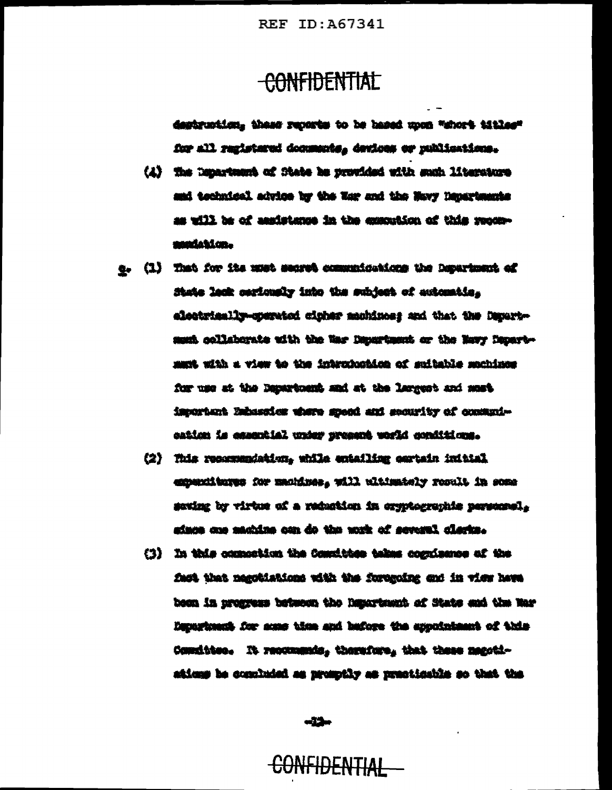#### -CONFIDENTIAL

destruction. these reports to be based upon "short titles" for all registered documents, devices or publications.

- (4) The Department of State he provided with such literature and technical advice by the War and the Navy Departments as will be of aanistense in the exacution of this recommadation.
- g. (1) That for its must search communications the Department of State lack certuraly into the subject of extentio. electrically-operated cicher machiness and that the Decartment collaborate with the War Depurtment or the Novy Departmust with a view to the introduction of suitable monings for use at the Departuant and at the largest and must important Embassies where speed and security of consumication is casantial under present world conditions.
	- (2) This recorrendation, while entailing eartain initial expenditures for manines, will altimately rosalt in some saving by virtue of a reduction in cryptographic personnel. since one machine con do the work of several clarks.
	- (3) In this commetion the Compition takes cognizator of the fact that nagotialisms with the foregoing and in view hows been in progress between the happression of State and the mod Department for some time and bafore the appointment of this Comdites. It resonance, therefore, that these negotiations be concluded as promptly as practicable so that the

ulija

CONFIDENTIAL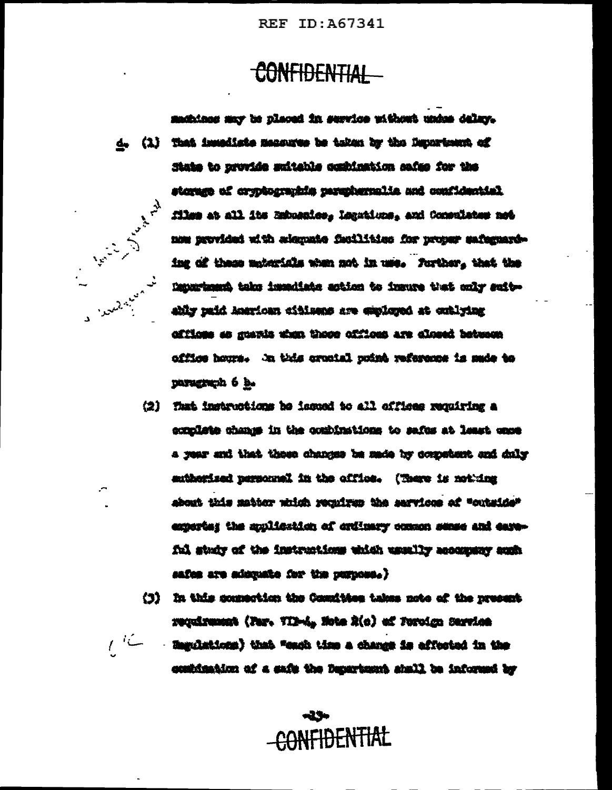# CONFIDENTIAL

mobines my be placed in service without under delay. d. (1) That invadiate measures be taken by the Duncriment of State to provide suitable condination safes for the storant has attenuated attenuated and continued to execute files at all its Estuaries, Legations, and Commutates not All limits of the limits of the limits of the limits of the limits of the limits of the limits of the limits of the limits of the limits of the limits of the limits of the limits of the limits of the limits of the limits o now provided with selegante facilities for proper safernarding of these mpterials when not in use. Forther, that the Department take immediate action to immure that only suitably paid Antrionn citiness are employed at outlying affices as guaris then there offices are closed between office hours. In this crootal puist reference is made to paragraph 6 b.

- (2) That instructions be issued to all offices requiring a complete change in the combinations to safes at least case a year and that these changes be made by competent and daly authorized nersonnel in the office. (There is not ing about this matter which reculrus the services of "outside" experted the multerian of critmary common sense and careful study of the instructions which usually accompany auch safes are administe for the purpose.)
- (3) In this commetion the Comition takes note of the newsent requirement (Far. TIR-A, Note R(c) of Foroign Sarvice
- $\iota^{\iota\mathcal{L}}$ - Hagolations) that "each time a change is affected in the continuation of a safe the Department shall be informed by

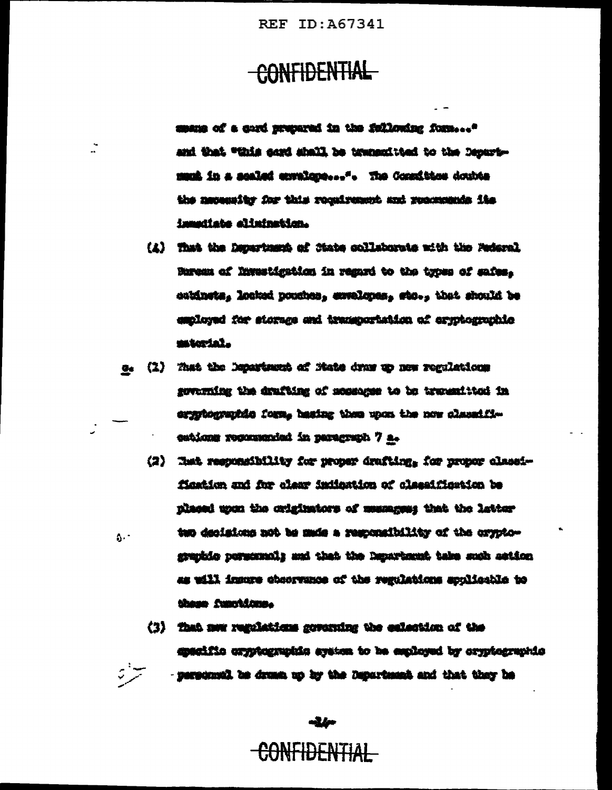### CONFIDENTIAL

mans of a quri prepared in the following form ... and that "this cord shall be transmitted to the Depurtmunk in a sealed covalope...". The Consition doubts the necessity for this rocalrement and recomments its immudiate alimination.

- (4) That the Department of State collaborate with the Motoral Parens of linestigation in regard to the types of safes, entinets, locked pouches, exvelopes, sto., that should be employed for storage and transportation of eryptographic material.
- e. (1) That the Department of Nate draw up new regulations governing the drufting of moseoger to be traventited in ergytographic form, basing them upon the now classified estions recommended in paragraph 7 a.
	- (2) That responsibility for proper drafting. for proper classification and for class indication of classification be placed upon the originators of mesages; that the latter tup decisions not be mude a responsibility of the oryptographic personnel; and that the Department take such action as will insure cheorwance of the regulations applicable to these functions.
	- (3) That now regulations governing the eslection of the apacific oryptographic system to be exployed by cryptographic - personnell be drust up by the Department and that they he

CONFIDENTIAL

alio

Ż

Ą.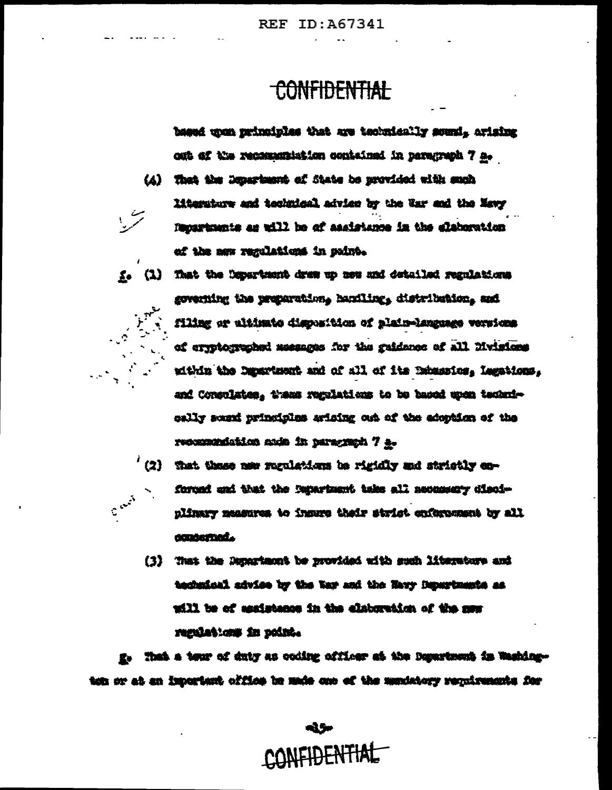#### **CONFIDENTIAL**

based upon principles that are technically sound, arising out of the recommendation contained in persyraph 7 a.

- (4) That the Department of State be provided with such literature and technical advise by the War and the Mawy Recordments as will be of assistance in the elaboration of the new regulations in puint.
- f. (1) That the Department draw up now and detailed regulations governing the preparation, hamiling, distribution, and filing or altinate disposition of plain-language versions of errotographed messages for the gaidness of all livinies. within the Department and of all of its Debassion, Legations, and Consolates, these regulations to be baced upon technieally sound principles arising out of the adoption of the recommendation and in persymph 7 a.
	- $'$  (2) that these now regulations be rigidly and strictly coforced and that the impariment take all neonascry disciplinary measures to insure thair strict enforcement by all concerned.
		- (3) That the Department be provided with such literature and technical advise by the War and the Navy Departments as will be of assistance in the elaboration of the mas regulations in point.

- That a tour of duty as coding officer at the Department in Washington or at an important office in mais one of the menistery requirements for

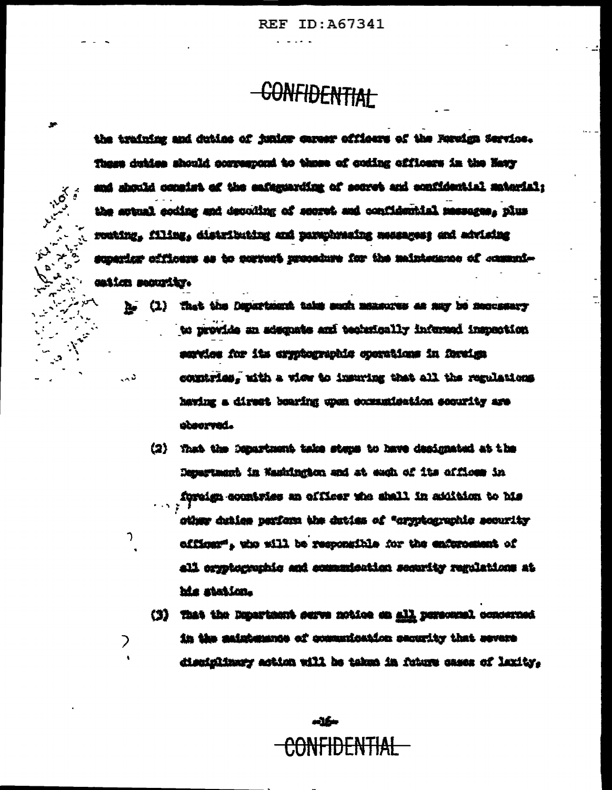# **CONFIDENTIAL**

the training and duties of funior career officers of the Revelge Service. These duties should correspond to those of coding officers in the Navy and should consist of the eafersarding of source and confidential material: the artual coding and decoding of secret and confidential messages, plus routing, filing, distributing and paraphyaning massages; and advising superior officers as to porrent procedure for the maintenance of communication security.

**110's** 

 $\mathcal{D}$ 

フ

- he (1) that the Department toles such measures as any be necessary to provide an adsquate and technically infurned inspection sarties for its expregraphic operations in foreign conntries, with a view to insuring that all the regulations  $\sim$  3 having a direct bearing upon communication security are observed.
	- (2) That the Department take steps to have designated at the Department in Namington and at each of its offices in foreign countries an officer who shall in addition to his  $1.5.2$ sther duties parform the duties of "oryphographic scourity officer", who will be responsible for the enderomeent of all oryptographic and communication security regulations at his station.
	- (3) That the Department surve notice on all personnel concerned in the asistomance of communication security that severe disciplinary action will be taken in future cases of laxity,

سكته <del>CONFIDENTIAL</del>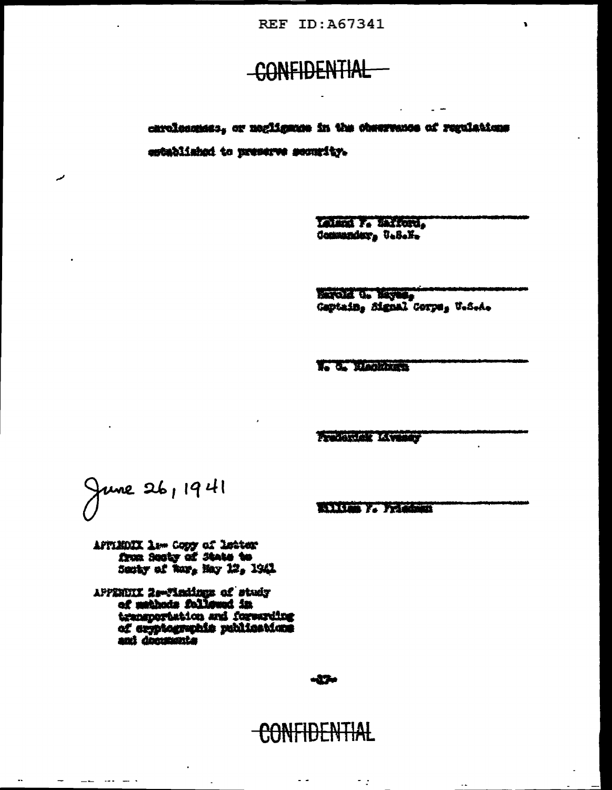### -CONFIDENTIAL

chrolocomes; or negligates in the chaerence of regulations entablished to preserve security.

> Ladson F. Safford, Communder, U.S.Y.

Marcia d. Mayes, Gaptain, Signal Corps, U.S.A.

N. C. Mankhura

**Byzantine Commercial Commercial Commercial Commercial Commercial Commercial Commercial Commercial Commercial Commercial Commercial Commercial Commercial Commercial Commercial Commercial Commercial Commercial Commercial Co** 

June 26, 1941

والمسار ومدار الطائب

مہ

William F. Friedman

AFFINDIX Law Copy of Letter from Sector of State to Senty of Roy, May 12, 1941

APPENDIX 2settraings of study of methods followed in transportation and forwarding of explographic publications anti documenta

#### -17-

#### <del>CONFIDENTIAL</del>

 $\overline{\phantom{a}}$  :

 $\sim$ 

 $\sim$   $\sim$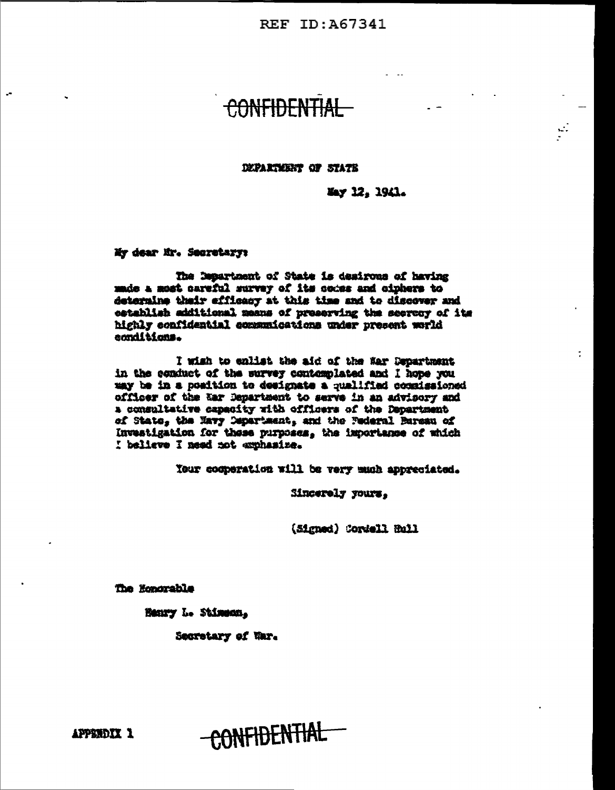### CONFIDENT

#### DUPARTMENT OF STATE

May 12, 1941.

My dear Mr. Secretary:

 $\overline{a}$ 

The Department of State is desirous of having made a most careful survey of its codes and ciphers to determine thair efficacy at this time and to discover and establish additional means of preserving the secrecy of its highly confidential communications under present world canditions.

I wish to enlist the aid of the War Department in the conduct of the survey contomnlated and I hope you may be in a position to designate a qualified commissioned officer of the tar Department to serve in an advisory and a consultative capacity with officers of the Department of State, the Navy Department, and the Pederal Bureau of Investigation for these purposes, the importance of which I believe I need not exphasize.

Your cooperation will be very much appreciated.

Sincerely yours,

(Signed) Cordell Hull

The Honorable

Henry L. Stimenn,

Secretary of War.

APPENDIX 1

CONFIDENTIAL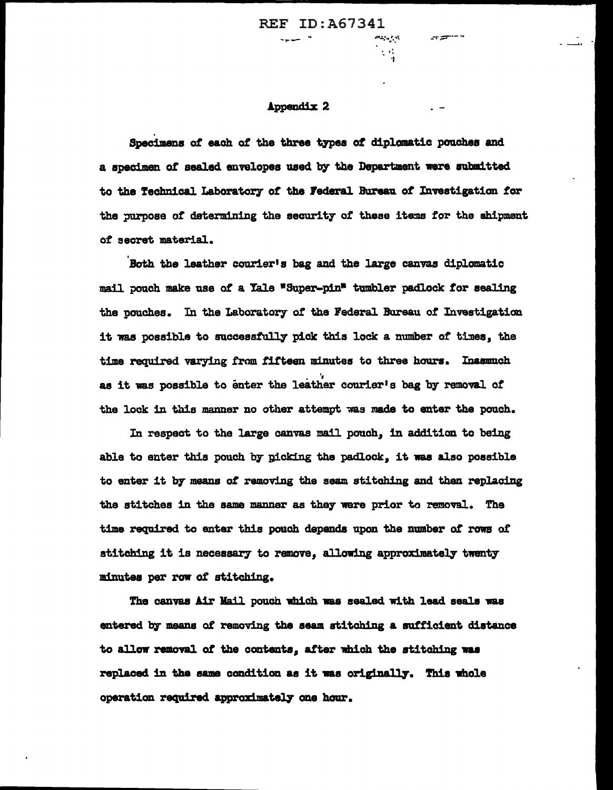... ..,.. \_\_ \_-r~·--

 $\cdot$  . 'I

#### Appendix 2

Specimens of each of the three types of diplomatic pouches and a specimen *ot* sealed envelopes used b7 the Department ware nbmittacl to the Technical Laboratoey ot the J'ederal Banau *ot* Investigation tor the purpose of determining the security of these items for the shipment *ot* secret material.

Both the leather courier's bag and the large canvas diplomatic mail pouch make use *ot* a Yale •Super-pin• tumbler padlock tor sealing the pouches. In the Laboratory of the Federal Bureau of Investigation it was possible to success.tully pick this lock a number *ot* ti:nea, the time required varying from fifteen minutes to three hours. Inasmuch<br>as it was possible to enter the leather courier's bag by removal of the lock in this manner no other attempt was made to enter the pouch.

In respect to the large canvas mail pouch, in addition to being able to enter this pouch by picking the padlock, it was also possible to enter it by means of removing the seam stitching and then replacing the stitches in the same manner as they were prior to removal. The time required to enter this pouch depends upon the number of rows of stitching it is necessary to remove, allowing approximately twenty :minutes per row of stitching.

The canvas Air Mail pouch which was sealed with lead seals was entered b7 means ot removing the seam stitching a sutficient distance to allow removal of the contents, after which the stitching was replaced in the same condition as it was originally. This whole operation required approximately one hour.

----------------------- ----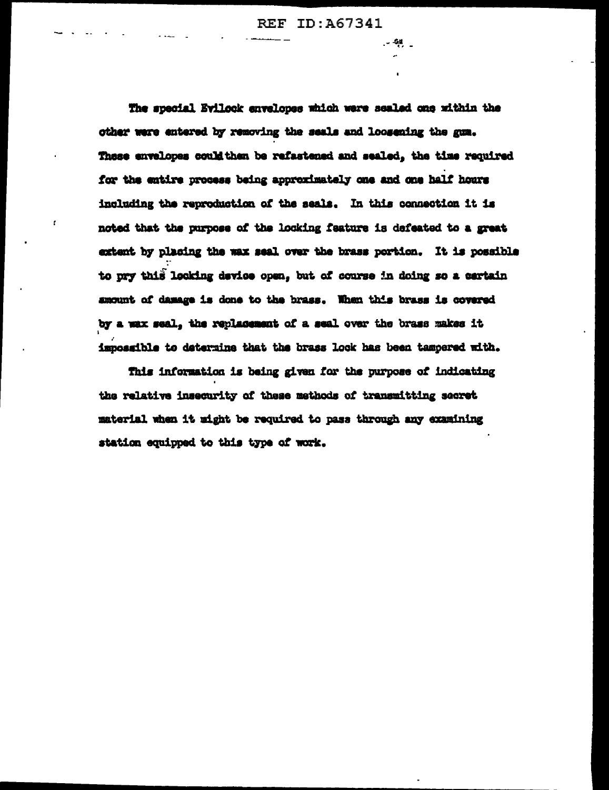$-20$ 

The special Evilock envelopes which were sealed one within the other were entered by removing the seals and loosening the gum. These envelopes could then be refastened and sealed, the time required for the entire process being approximately one and one half hours including the reproduction of the seals. In this connection it is noted that the purpose of the locking faature is defeated to a great extent by placing the wax seal over the brass portion. It is possible to pry this looking device open, but of course in doing so a certain amount of damage is done to the brass. When this brass is covered by a wax seal, the replacement of a seal over the brass makes it impossible to determine that the brass look has been tampered mith.

This information is being given for the purpose of indicating the relative insecurity of these methods of transmitting secret material when it wight be required to pass through any examining station equipped to this type of work.